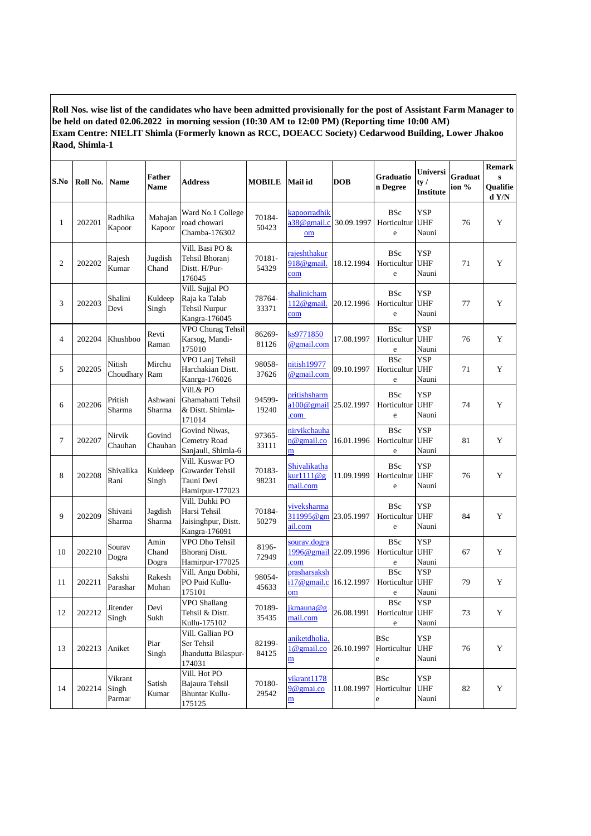**Roll Nos. wise list of the candidates who have been admitted provisionally for the post of Assistant Farm Manager to be held on dated 02.06.2022 in morning session (10:30 AM to 12:00 PM) (Reporting time 10:00 AM) Exam Centre: NIELIT Shimla (Formerly known as RCC, DOEACC Society) Cedarwood Building, Lower Jhakoo Raod, Shimla-1**

| S.No           | Roll No. | <b>Name</b>                | <b>Father</b><br>Name  | <b>Address</b>                                                            | <b>MOBILE</b>   | Mail id                                                   | <b>DOB</b> | Graduatio<br>n Degree                    | Universi<br>ty /<br>Institute     | <b>Graduat</b><br>ion % | <b>Remark</b><br>$\mathbf{s}$<br>Qualifie<br>d Y/N |
|----------------|----------|----------------------------|------------------------|---------------------------------------------------------------------------|-----------------|-----------------------------------------------------------|------------|------------------------------------------|-----------------------------------|-------------------------|----------------------------------------------------|
| 1              | 202201   | Radhika<br>Kapoor          | Mahajan<br>Kapoor      | Ward No.1 College<br>road chowari<br>Chamba-176302                        | 70184-<br>50423 | kapoorradhik<br>a38@gmail.c<br>om                         | 30.09.1997 | <b>BSc</b><br>Horticultur<br>e           | <b>YSP</b><br><b>UHF</b><br>Nauni | 76                      | Y                                                  |
| $\overline{c}$ | 202202   | Rajesh<br>Kumar            | Jugdish<br>Chand       | Vill. Basi PO &<br>Tehsil Bhoranj<br>Distt. H/Pur-<br>176045              | 70181-<br>54329 | rajeshthakur<br>918@gmail.<br>com                         | 18.12.1994 | <b>BSc</b><br>Horticultur<br>e           | <b>YSP</b><br><b>UHF</b><br>Nauni | 71                      | $\mathbf Y$                                        |
| 3              | 202203   | Shalini<br>Devi            | Kuldeep<br>Singh       | Vill. Sujjal PO<br>Raja ka Talab<br><b>Tehsil Nurpur</b><br>Kangra-176045 | 78764-<br>33371 | shalinicham<br>112@gmail.<br>com                          | 20.12.1996 | <b>BSc</b><br>Horticultur<br>e           | <b>YSP</b><br><b>UHF</b><br>Nauni | 77                      | Y                                                  |
| $\overline{4}$ | 202204   | Khushboo                   | Revti<br>Raman         | VPO Churag Tehsil<br>Karsog, Mandi-<br>175010                             | 86269-<br>81126 | ks9771850<br>@gmail.com                                   | 17.08.1997 | <b>BSc</b><br>Horticultur<br>e           | <b>YSP</b><br><b>UHF</b><br>Nauni | 76                      | Y                                                  |
| 5              | 202205   | Nitish<br>Choudhary Ram    | Mirchu                 | VPO Lanj Tehsil<br>Harchakian Distt.<br>Kanrga-176026                     | 98058-<br>37626 | nitish19977<br>@gmail.com                                 | 09.10.1997 | <b>BSc</b><br>Horticultur<br>$\rm e$     | <b>YSP</b><br><b>UHF</b><br>Nauni | 71                      | Y                                                  |
| 6              | 202206   | Pritish<br>Sharma          | Ashwani<br>Sharma      | Vill.& PO<br>Ghamahatti Tehsil<br>& Distt. Shimla-<br>171014              | 94599-<br>19240 | pritishsharm<br>a100@gmail<br>.com                        | 25.02.1997 | <b>BSc</b><br>Horticultur<br>$\rm e$     | <b>YSP</b><br><b>UHF</b><br>Nauni | 74                      | Y                                                  |
| $\tau$         | 202207   | Nirvik<br>Chauhan          | Govind<br>Chauhan      | Govind Niwas,<br>Cemetry Road<br>Sanjauli, Shimla-6                       | 97365-<br>33111 | nirvikchauha<br>n@gmail.co<br>m                           | 16.01.1996 | <b>BSc</b><br>Horticultur<br>e           | <b>YSP</b><br><b>UHF</b><br>Nauni | 81                      | Y                                                  |
| 8              | 202208   | Shivalika<br>Rani          | Kuldeep<br>Singh       | Vill. Kuswar PO<br>Guwarder Tehsil<br>Tauni Devi<br>Hamirpur-177023       | 70183-<br>98231 | Shivalikatha<br>$kurd1110$ @g<br>mail.com                 | 11.09.1999 | <b>BSc</b><br>Horticultur<br>$\rm e$     | <b>YSP</b><br><b>UHF</b><br>Nauni | 76                      | Y                                                  |
| 9              | 202209   | Shivani<br>Sharma          | Jagdish<br>Sharma      | Vill. Duhki PO<br>Harsi Tehsil<br>Jaisinghpur, Distt.<br>Kangra-176091    | 70184-<br>50279 | viveksharma<br>311995@gm 23.05.1997<br>ail.com            |            | <b>BSc</b><br>Horticultur<br>e           | <b>YSP</b><br><b>UHF</b><br>Nauni | 84                      | Y                                                  |
| 10             | 202210   | Sourav<br>Dogra            | Amin<br>Chand<br>Dogra | VPO Dho Tehsil<br>Bhoranj Distt.<br>Hamirpur-177025                       | 8196-<br>72949  | sourav.dogra<br>1996@gmail 22.09.1996<br>com              |            | <b>BSc</b><br>Horticultur<br>e           | <b>YSP</b><br><b>UHF</b><br>Nauni | 67                      | Y                                                  |
| 11             | 202211   | Sakshi<br>Parashar         | Rakesh<br>Mohan        | Vill. Angu Dobhi,<br>PO Puid Kullu-<br>175101                             | 98054-<br>45633 | prasharsaksh<br>i17@gmail.c<br>om                         | 16.12.1997 | <b>BSc</b><br>Horticultur<br>e           | <b>YSP</b><br><b>UHF</b><br>Nauni | 79                      | Y                                                  |
| 12             | 202212   | Jitender<br>Singh          | Devi<br>Sukh           | VPO Shallang<br>Tehsil & Distt.<br>Kullu-175102                           | 70189-<br>35435 | jkmauna@g<br>mail.com                                     | 26.08.1991 | <b>BSc</b><br>Horticultur UHF<br>$\rm e$ | <b>YSP</b><br>Nauni               | 73                      | Y                                                  |
| 13             | 202213   | Aniket                     | Piar<br>Singh          | Vill. Gallian PO<br>Ser Tehsil<br>Jhandutta Bilaspur-<br>174031           | 82199-<br>84125 | aniketdholia.<br>$1@$ gmail.co<br>$\overline{\mathbf{m}}$ | 26.10.1997 | <b>BSc</b><br>Horticultur<br>e           | <b>YSP</b><br><b>UHF</b><br>Nauni | 76                      | Y                                                  |
| 14             | 202214   | Vikrant<br>Singh<br>Parmar | Satish<br>Kumar        | Vill. Hot PO<br>Bajaura Tehsil<br><b>Bhuntar Kullu-</b><br>175125         | 70180-<br>29542 | vikrant1178<br>9@gmai.co<br>$\overline{\mathbf{m}}$       | 11.08.1997 | <b>BSc</b><br>Horticultur<br>e           | YSP<br><b>UHF</b><br>Nauni        | 82                      | Y                                                  |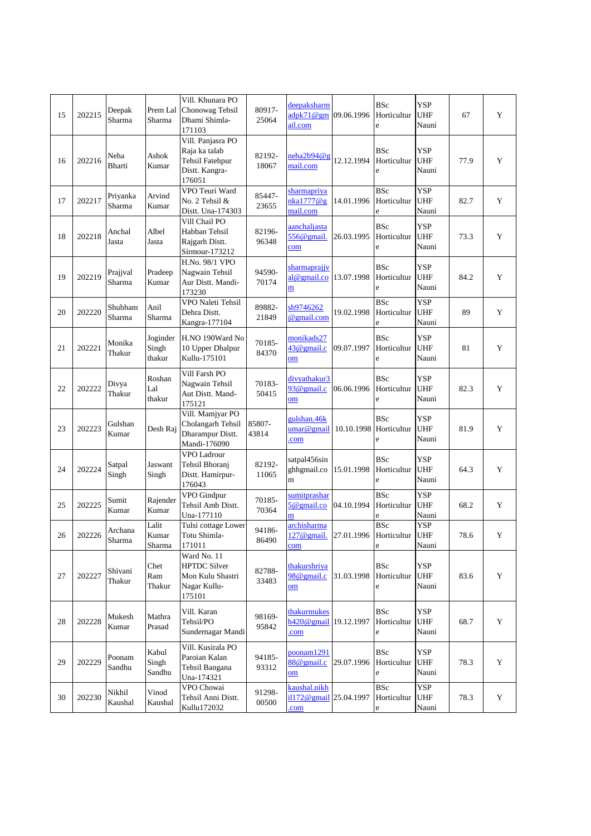| 15     | 202215 | Deepak<br>Sharma   | Prem Lal<br>Sharma          | Vill. Khunara PO<br>Chonowag Tehsil<br>Dhami Shimla-<br>171103                           | 80917-<br>25064 | deepaksharm<br>adpk71@gm<br>ail.com                       | 09.06.1996 | <b>BSc</b><br>Horticultur<br>e           | <b>YSP</b><br><b>UHF</b><br>Nauni | 67   | Y |
|--------|--------|--------------------|-----------------------------|------------------------------------------------------------------------------------------|-----------------|-----------------------------------------------------------|------------|------------------------------------------|-----------------------------------|------|---|
| 16     | 202216 | Neha<br>Bharti     | Ashok<br>Kumar              | Vill. Panjasra PO<br>Raja ka talab<br><b>Tehsil Fatehpur</b><br>Distt. Kangra-<br>176051 | 82192-<br>18067 | neha2b94@g<br>mail.com                                    | 12.12.1994 | <b>BSc</b><br>Horticultur<br>e           | <b>YSP</b><br><b>UHF</b><br>Nauni | 77.9 | Y |
| 17     | 202217 | Priyanka<br>Sharma | Arvind<br>Kumar             | VPO Teuri Ward<br>No. 2 Tehsil &<br>Distt. Una-174303                                    | 85447-<br>23655 | sharmapriya<br>nka1777@g<br>mail.com                      | 14.01.1996 | <b>BSc</b><br>Horticultur<br>e           | <b>YSP</b><br>UHF<br>Nauni        | 82.7 | Y |
| 18     | 202218 | Anchal<br>Jasta    | Albel<br>Jasta              | Vill Chail PO<br>Habban Tehsil<br>Rajgarh Distt.<br>Sirmour-173212                       | 82196-<br>96348 | aanchaljasta<br>$556@$ gmail.<br>$\underline{\text{com}}$ | 26.03.1995 | <b>BSc</b><br>Horticultur<br>e           | <b>YSP</b><br><b>UHF</b><br>Nauni | 73.3 | Y |
| 19     | 202219 | Prajjval<br>Sharma | Pradeep<br>Kumar            | H.No. 98/1 VPO<br>Nagwain Tehsil<br>Aur Distt. Mandi-<br>173230                          | 94590-<br>70174 | sharmaprajjv<br>al@gmail.co<br>m                          | 13.07.1998 | <b>BSc</b><br>Horticultur<br>e           | <b>YSP</b><br><b>UHF</b><br>Nauni | 84.2 | Y |
| 20     | 202220 | Shubham<br>Sharma  | Anil<br>Sharma              | VPO Naleti Tehsil<br>Dehra Distt.<br>Kangra-177104                                       | 89882-<br>21849 | sh9746262<br>@gmail.com                                   | 19.02.1998 | <b>BSc</b><br>Horticultur<br>e           | <b>YSP</b><br><b>UHF</b><br>Nauni | 89   | Y |
| 21     | 202221 | Monika<br>Thakur   | Joginder<br>Singh<br>thakur | H.NO 190Ward No<br>10 Upper Dhalpur<br>Kullu-175101                                      | 70185-<br>84370 | monikads27<br>$43@$ gmail.c<br>om                         | 09.07.1997 | <b>BSc</b><br>Horticultur<br>e           | <b>YSP</b><br><b>UHF</b><br>Nauni | 81   | Y |
| 22     | 202222 | Divya<br>Thakur    | Roshan<br>Lal<br>thakur     | Vill Farsh PO<br>Nagwain Tehsil<br>Aut Distt. Mand-<br>175121                            | 70183-<br>50415 | divyathakur3<br>93@gmail.c<br>$_{\rm om}$                 | 06.06.1996 | <b>BSc</b><br>Horticultur<br>e           | <b>YSP</b><br><b>UHF</b><br>Nauni | 82.3 | Y |
| 23     | 202223 | Gulshan<br>Kumar   | Desh Raj                    | Vill. Mamjyar PO<br>Cholangarh Tehsil<br>Dharampur Distt.<br>Mandi-176090                | 85807-<br>43814 | gulshan.46k<br>umar@gmail<br>com                          | 10.10.1998 | <b>BSc</b><br>Horticultur<br>e           | <b>YSP</b><br><b>UHF</b><br>Nauni | 81.9 | Y |
| 24     | 202224 | Satpal<br>Singh    | Jaswant<br>Singh            | VPO Ladrour<br>Tehsil Bhoranj<br>Distt. Hamirpur-<br>176043                              | 82192-<br>11065 | satpal456sin<br>ghhgmail.co<br>m                          | 15.01.1998 | <b>BSc</b><br>Horticultur<br>e           | <b>YSP</b><br><b>UHF</b><br>Nauni | 64.3 | Y |
| 25     | 202225 | Sumit<br>Kumar     | Rajender<br>Kumar           | VPO Gindpur<br>Tehsil Amb Distt.<br>Una-177110                                           | 70185-<br>70364 | sumitprashar<br>$5@$ gmail.co<br>n                        | 04.10.1994 | <b>BSc</b><br>Horticultur<br>e           | <b>YSP</b><br><b>UHF</b><br>Nauni | 68.2 | Y |
| $26\,$ | 202226 | Archana<br>Sharma  | Lalit<br>Kumar<br>Sharma    | Tulsi cottage Lower<br>Totu Shimla-<br>171011                                            | 94186-<br>86490 | archisharma<br>127@gmail. 27.01.1996 Horticultur<br>com   |            | <b>BSc</b><br>e                          | <b>YSP</b><br><b>UHF</b><br>Nauni | 78.6 | Y |
| 27     | 202227 | Shivani<br>Thakur  | Chet<br>Ram<br>Thakur       | Ward No. 11<br><b>HPTDC Silver</b><br>Mon Kulu Shastri<br>Nagar Kullu-<br>175101         | 82788-<br>33483 | thakurshriya<br>98@gmail.c<br>om                          | 31.03.1998 | <b>BSc</b><br>Horticultur<br>e           | YSP<br>UHF<br>Nauni               | 83.6 | Y |
| 28     | 202228 | Mukesh<br>Kumar    | Mathra<br>Prasad            | Vill. Karan<br>Tehsil/PO<br>Sundernagar Mandi                                            | 98169-<br>95842 | thakurmukes<br>$h420@$ gmail<br>com                       | 19.12.1997 | <b>BSc</b><br>Horticultur<br>$\mathbf e$ | <b>YSP</b><br><b>UHF</b><br>Nauni | 68.7 | Y |
| 29     | 202229 | Poonam<br>Sandhu   | Kabul<br>Singh<br>Sandhu    | Vill. Kusirala PO<br>Paroian Kalan<br>Tehsil Bangana<br>Una-174321                       | 94185-<br>93312 | poonam1291<br>88@gmail.c<br>$_{\rm om}$                   | 29.07.1996 | <b>BSc</b><br>Horticultur<br>e           | <b>YSP</b><br><b>UHF</b><br>Nauni | 78.3 | Y |
| 30     | 202230 | Nikhil<br>Kaushal  | Vinod<br>Kaushal            | VPO Chowai<br>Tehsil Anni Distt.<br>Kullu172032                                          | 91298-<br>00500 | kaushal.nikh<br>il172@gmail 25.04.1997<br>com             |            | <b>BSc</b><br>Horticultur<br>e           | <b>YSP</b><br><b>UHF</b><br>Nauni | 78.3 | Y |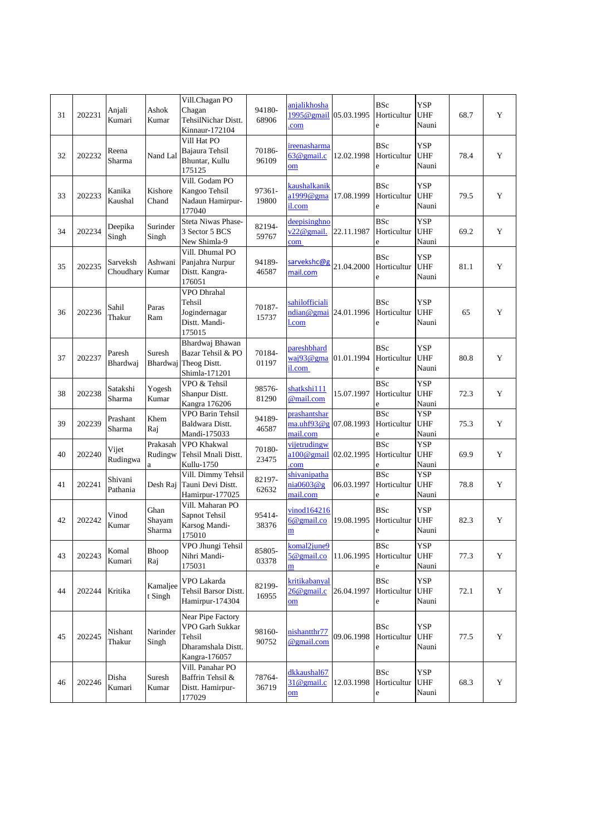| 31 | 202231 | Anjali<br>Kumari      | Ashok<br>Kumar           | Vill.Chagan PO<br>Chagan<br><b>TehsilNichar Distt.</b><br>Kinnaur-172104              | 94180-<br>68906 | anjalikhosha<br>$1995@$ gmail<br>com                   | 05.03.1995 | <b>BSc</b><br>Horticultur<br>e       | <b>YSP</b><br><b>UHF</b><br>Nauni | 68.7 | Y |
|----|--------|-----------------------|--------------------------|---------------------------------------------------------------------------------------|-----------------|--------------------------------------------------------|------------|--------------------------------------|-----------------------------------|------|---|
| 32 | 202232 | Reena<br>Sharma       | Nand Lal                 | Vill Hat PO<br>Bajaura Tehsil<br>Bhuntar, Kullu<br>175125                             | 70186-<br>96109 | ireenasharma<br>$63@$ gmail.c<br>$_{\rm om}$           | 12.02.1998 | <b>BSc</b><br>Horticultur<br>e       | <b>YSP</b><br><b>UHF</b><br>Nauni | 78.4 | Y |
| 33 | 202233 | Kanika<br>Kaushal     | Kishore<br>Chand         | Vill. Godam PO<br>Kangoo Tehsil<br>Nadaun Hamirpur-<br>177040                         | 97361-<br>19800 | kaushalkanik<br>a1999@gma<br>il.com                    | 17.08.1999 | <b>BSc</b><br>Horticultur<br>e       | <b>YSP</b><br><b>UHF</b><br>Nauni | 79.5 | Y |
| 34 | 202234 | Deepika<br>Singh      | Surinder<br>Singh        | Steta Niwas Phase-<br>3 Sector 5 BCS<br>New Shimla-9                                  | 82194-<br>59767 | deepisinghno<br>$v22@$ gmail.<br>com                   | 22.11.1987 | <b>BSc</b><br>Horticultur<br>e       | <b>YSP</b><br><b>UHF</b><br>Nauni | 69.2 | Y |
| 35 | 202235 | Sarveksh<br>Choudhary | Ashwani<br>Kumar         | Vill. Dhumal PO<br>Panjahra Nurpur<br>Distt. Kangra-<br>176051                        | 94189-<br>46587 | sarvekshc@g<br>mail.com                                | 21.04.2000 | <b>BSc</b><br>Horticultur<br>e       | YSP<br><b>UHF</b><br>Nauni        | 81.1 | Y |
| 36 | 202236 | Sahil<br>Thakur       | Paras<br>Ram             | VPO Dhrahal<br>Tehsil<br>Jogindernagar<br>Distt. Mandi-<br>175015                     | 70187-<br>15737 | sahilofficiali<br>ndian@gmai 24.01.1996<br>.com        |            | <b>BSc</b><br>Horticultur<br>e       | <b>YSP</b><br><b>UHF</b><br>Nauni | 65   | Y |
| 37 | 202237 | Paresh<br>Bhardwaj    | Suresh                   | Bhardwaj Bhawan<br>Bazar Tehsil & PO<br>Bhardwaj Theog Distt.<br>Shimla-171201        | 70184-<br>01197 | pareshbhard<br>waj93@gma<br>il.com                     | 01.01.1994 | <b>BSc</b><br>Horticultur<br>e       | <b>YSP</b><br><b>UHF</b><br>Nauni | 80.8 | Y |
| 38 | 202238 | Satakshi<br>Sharma    | Yogesh<br>Kumar          | VPO & Tehsil<br>Shanpur Distt.<br>Kangra 176206                                       | 98576-<br>81290 | shatkshi111<br>@mail.com                               | 15.07.1997 | <b>BSc</b><br>Horticultur<br>e       | <b>YSP</b><br><b>UHF</b><br>Nauni | 72.3 | Y |
| 39 | 202239 | Prashant<br>Sharma    | Khem<br>Raj              | VPO Barin Tehsil<br>Baldwara Distt.<br>Mandi-175033                                   | 94189-<br>46587 | prashantshar<br>ma.uhf93@g<br>mail.com                 | 07.08.1993 | <b>BSc</b><br>Horticultur<br>e       | <b>YSP</b><br><b>UHF</b><br>Nauni | 75.3 | Y |
| 40 | 202240 | Vijet<br>Rudingwa     | Prakasah<br>Rudingw<br>a | VPO Khakwal<br>Tehsil Mnali Distt.<br>Kullu-1750                                      | 70180-<br>23475 | vijetrudingw<br>a100@gmail 02.02.1995<br>com           |            | <b>BSc</b><br>Horticultur<br>e       | <b>YSP</b><br><b>UHF</b><br>Nauni | 69.9 | Y |
| 41 | 202241 | Shivani<br>Pathania   | Desh Raj                 | Vill. Dimmy Tehsil<br>Tauni Devi Distt.<br>Hamirpur-177025                            | 82197-<br>62632 | shivanipatha<br>$ni\omega 603@g$<br>mail.com           | 06.03.1997 | <b>BSc</b><br>Horticultur<br>e       | YSP<br><b>UHF</b><br>Nauni        | 78.8 | Y |
| 42 | 202242 | Vinod<br>Kumar        | Ghan<br>Shayam<br>Sharma | Vill. Maharan PO<br>Sapnot Tehsil<br>Karsog Mandi-<br>175010                          | 95414-<br>38376 | vinod164216<br>6@gmail.co<br>m                         | 19.08.1995 | <b>BSc</b><br>Horticultur<br>e       | <b>YSP</b><br><b>UHF</b><br>Nauni | 82.3 | Y |
| 43 | 202243 | Komal<br>Kumari       | Bhoop<br>Raj             | VPO Jhungi Tehsil<br>Nihri Mandi-<br>175031                                           | 85805-<br>03378 | komal2june9<br>$5@$ gmail.co<br>m                      | 11.06.1995 | <b>BSc</b><br>Horticultur<br>e       | <b>YSP</b><br><b>UHF</b><br>Nauni | 77.3 | Y |
| 44 | 202244 | Kritika               | Kamaljee<br>t Singh      | VPO Lakarda<br>Tehsil Barsor Distt.<br>Hamirpur-174304                                | 82199-<br>16955 | kritikabanyal<br>$26@$ gmail.c<br>$_{\rm om}$          | 26.04.1997 | <b>BSc</b><br>Horticultur<br>e       | <b>YSP</b><br><b>UHF</b><br>Nauni | 72.1 | Y |
| 45 | 202245 | Nishant<br>Thakur     | Narinder<br>Singh        | Near Pipe Factory<br>VPO Garh Sukkar<br>Tehsil<br>Dharamshala Distt.<br>Kangra-176057 | 98160-<br>90752 | nishantthr77<br>@gmail.com                             | 09.06.1998 | <b>BSc</b><br>Horticultur<br>e       | YSP<br><b>UHF</b><br>Nauni        | 77.5 | Y |
| 46 | 202246 | Disha<br>Kumari       | Suresh<br>Kumar          | Vill. Panahar PO<br>Baffrin Tehsil &<br>Distt. Hamirpur-<br>177029                    | 78764-<br>36719 | dkkaushal67<br>$31@$ gmail.c<br>$\overline{\text{om}}$ | 12.03.1998 | <b>BSc</b><br>Horticultur<br>$\rm e$ | YSP<br>UHF<br>Nauni               | 68.3 | Y |